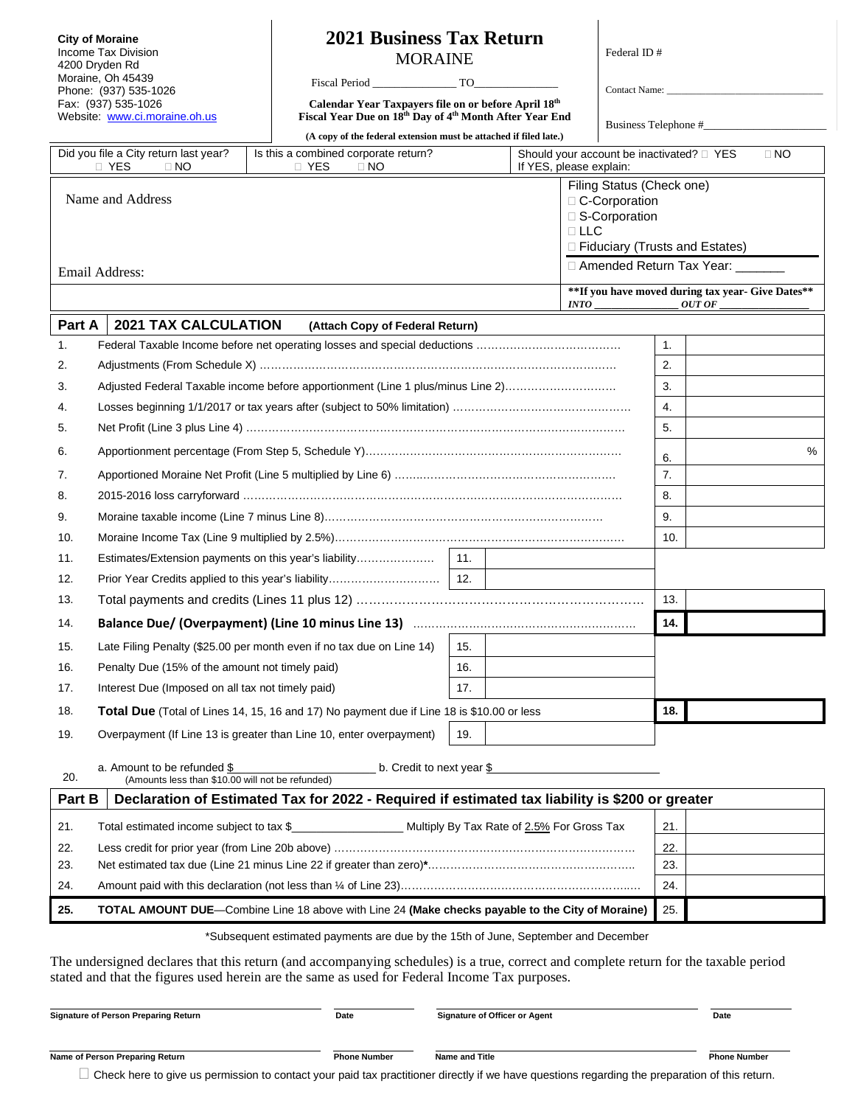**City of Moraine** Income Tax Division 4200 Dryden Rd Moraine, Oh 45439 Phone: (937) 535-1026 Fax: (937) 535-1026 Website: [www.ci.moraine.oh.us](http://www.cincinnati-oh.gov/citytax)

## **2021 Business Tax Return** MORAINE

Fiscal Period \_\_\_\_\_\_\_\_\_\_\_\_\_\_\_ TO\_\_\_\_\_\_\_\_\_\_\_\_\_\_\_

**Calendar Year Taxpayers file on or before April 18th Fiscal Year Due on 18th Day of 4th Month After Year End** Federal ID # Contact Name:

Business Telephone #\_\_\_\_\_\_\_\_\_\_\_\_\_\_\_\_\_\_\_\_\_\_

|                                                                                                                     |                                                                                 | (A copy of the federal extension must be attached if filed late.)                                                                                                                                                                     |                         |     |                                  | DUSILIESS TEIEPHOLIC $#_{\_}$ |           |
|---------------------------------------------------------------------------------------------------------------------|---------------------------------------------------------------------------------|---------------------------------------------------------------------------------------------------------------------------------------------------------------------------------------------------------------------------------------|-------------------------|-----|----------------------------------|-------------------------------|-----------|
| Did you file a City return last year?<br>D YES<br>$\Box$ NO                                                         |                                                                                 | Is this a combined corporate return?<br><b>D</b> YES<br>$\Box$ NO                                                                                                                                                                     | If YES, please explain: |     |                                  |                               | $\Box$ NO |
| Filing Status (Check one)                                                                                           |                                                                                 |                                                                                                                                                                                                                                       |                         |     |                                  |                               |           |
| Name and Address<br>□ C-Corporation<br>□ S-Corporation                                                              |                                                                                 |                                                                                                                                                                                                                                       |                         |     |                                  |                               |           |
|                                                                                                                     |                                                                                 |                                                                                                                                                                                                                                       |                         |     | $\sqcap$ LLC                     |                               |           |
|                                                                                                                     |                                                                                 |                                                                                                                                                                                                                                       |                         |     | □ Fiduciary (Trusts and Estates) |                               |           |
| □ Amended Return Tax Year: _______<br>Email Address:                                                                |                                                                                 |                                                                                                                                                                                                                                       |                         |     |                                  |                               |           |
| **If you have moved during tax year- Give Dates**<br><i>INTO</i>                                                    |                                                                                 |                                                                                                                                                                                                                                       | OUT OF                  |     |                                  |                               |           |
| Part A                                                                                                              | <b>2021 TAX CALCULATION</b>                                                     | (Attach Copy of Federal Return)                                                                                                                                                                                                       |                         |     |                                  |                               |           |
| 1.                                                                                                                  |                                                                                 |                                                                                                                                                                                                                                       |                         |     | 1.                               |                               |           |
| 2.                                                                                                                  |                                                                                 |                                                                                                                                                                                                                                       |                         | 2.  |                                  |                               |           |
| 3.                                                                                                                  | Adjusted Federal Taxable income before apportionment (Line 1 plus/minus Line 2) |                                                                                                                                                                                                                                       |                         | 3.  |                                  |                               |           |
| 4.                                                                                                                  |                                                                                 |                                                                                                                                                                                                                                       |                         |     |                                  | 4.                            |           |
| 5.                                                                                                                  |                                                                                 |                                                                                                                                                                                                                                       |                         |     |                                  | 5.                            |           |
| 6.                                                                                                                  |                                                                                 |                                                                                                                                                                                                                                       |                         |     |                                  | 6.                            | %         |
| 7.                                                                                                                  |                                                                                 |                                                                                                                                                                                                                                       |                         |     |                                  | 7.                            |           |
| 8.                                                                                                                  |                                                                                 |                                                                                                                                                                                                                                       |                         |     |                                  | 8.                            |           |
| 9.                                                                                                                  |                                                                                 |                                                                                                                                                                                                                                       |                         |     |                                  | 9.                            |           |
| 10.                                                                                                                 |                                                                                 |                                                                                                                                                                                                                                       |                         |     |                                  | 10.                           |           |
| 11.                                                                                                                 |                                                                                 | Estimates/Extension payments on this year's liability                                                                                                                                                                                 | 11.                     |     |                                  |                               |           |
| 12.                                                                                                                 |                                                                                 |                                                                                                                                                                                                                                       |                         |     |                                  |                               |           |
| 13.                                                                                                                 |                                                                                 |                                                                                                                                                                                                                                       |                         |     |                                  | 13.                           |           |
| 14.                                                                                                                 |                                                                                 |                                                                                                                                                                                                                                       |                         |     |                                  | 14.                           |           |
| 15.                                                                                                                 |                                                                                 | Late Filing Penalty (\$25.00 per month even if no tax due on Line 14)                                                                                                                                                                 | 15.                     |     |                                  |                               |           |
| 16.                                                                                                                 | Penalty Due (15% of the amount not timely paid)                                 |                                                                                                                                                                                                                                       | 16.                     |     |                                  |                               |           |
| 17.                                                                                                                 | Interest Due (Imposed on all tax not timely paid)                               |                                                                                                                                                                                                                                       | 17.                     |     |                                  |                               |           |
| 18.                                                                                                                 |                                                                                 | Total Due (Total of Lines 14, 15, 16 and 17) No payment due if Line 18 is \$10.00 or less                                                                                                                                             |                         |     | 18.                              |                               |           |
| 19.                                                                                                                 |                                                                                 | Overpayment (If Line 13 is greater than Line 10, enter overpayment)                                                                                                                                                                   | 19.                     |     |                                  |                               |           |
| a. Amount to be refunded \$<br>b. Credit to next year \$<br>20.<br>(Amounts less than \$10.00 will not be refunded) |                                                                                 |                                                                                                                                                                                                                                       |                         |     |                                  |                               |           |
| Part B                                                                                                              |                                                                                 | Declaration of Estimated Tax for 2022 - Required if estimated tax liability is \$200 or greater                                                                                                                                       |                         |     |                                  |                               |           |
| 21.                                                                                                                 | Total estimated income subject to tax \$                                        | Multiply By Tax Rate of 2.5% For Gross Tax                                                                                                                                                                                            |                         |     |                                  | 21.                           |           |
| 22.                                                                                                                 |                                                                                 |                                                                                                                                                                                                                                       |                         | 22. |                                  |                               |           |
| 23.                                                                                                                 |                                                                                 |                                                                                                                                                                                                                                       |                         | 23. |                                  |                               |           |
| 24.                                                                                                                 |                                                                                 |                                                                                                                                                                                                                                       |                         |     | 24.                              |                               |           |
| TOTAL AMOUNT DUE-Combine Line 18 above with Line 24 (Make checks payable to the City of Moraine)<br>25.             |                                                                                 |                                                                                                                                                                                                                                       |                         | 25. |                                  |                               |           |
|                                                                                                                     |                                                                                 | *Subsequent estimated payments are due by the 15th of June, September and December                                                                                                                                                    |                         |     |                                  |                               |           |
|                                                                                                                     |                                                                                 | The undersigned declares that this return (and accompanying schedules) is a true, correct and complete return for the taxable period<br>stated and that the figures used herein are the same as used for Federal Income Tax purposes. |                         |     |                                  |                               |           |



 $\Box$  Check here to give us permission to contact your paid tax practitioner directly if we have questions regarding the preparation of this return.